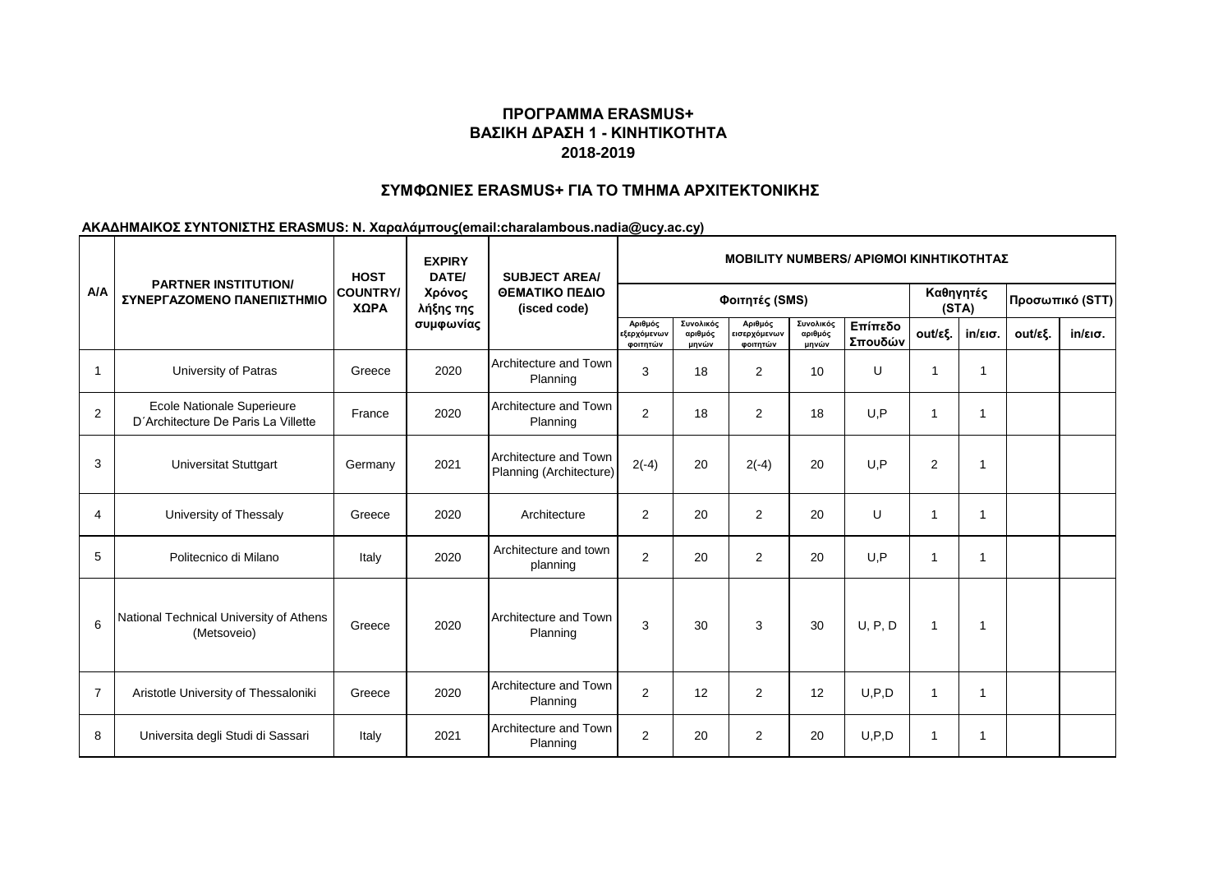# **ΠΡΟΓΡΑΜΜΑ ERASMUS+ ΒΑΣΙΚΗ ΔΡΑΣΗ 1 - ΚΙΝΗΤΙΚΟΤΗΤΑ 2018-2019**

### **ΣΥΜΦΩΝΙΕΣ ERASMUS+ ΓΙΑ ΤΟ ΤΜΗΜΑ ΑΡΧΙΤΕΚΤΟΝΙΚΗΣ**

#### **ΑΚΑΔΗΜΑΙΚΟΣ ΣΥΝΤΟΝΙΣΤΗΣ ERASMUS: Ν. Χαραλάμπους(email:charalambous.nadia@ucy.ac.cy)**

|                | <b>PARTNER INSTITUTION/</b><br>ΣΥΝΕΡΓΑΖΟΜΕΝΟ ΠΑΝΕΠΙΣΤΗΜΙΟ         | <b>HOST</b><br><b>COUNTRY/</b><br>ΧΩΡΑ | <b>EXPIRY</b><br>DATE/<br>Χρόνος<br>λήξης της<br>συμφωνίας | <b>SUBJECT AREA/</b><br>ΘΕΜΑΤΙΚΟ ΠΕΔΙΟ<br>(isced code) | <b>ΜΟΒΙLITY NUMBERS/ ΑΡΙΘΜΟΙ ΚΙΝΗΤΙΚΟΤΗΤΑΣ</b> |                               |                                     |                               |                    |                    |                   |                 |                   |
|----------------|-------------------------------------------------------------------|----------------------------------------|------------------------------------------------------------|--------------------------------------------------------|------------------------------------------------|-------------------------------|-------------------------------------|-------------------------------|--------------------|--------------------|-------------------|-----------------|-------------------|
| A/A            |                                                                   |                                        |                                                            |                                                        | Φοιτητές (SMS)                                 |                               |                                     |                               |                    | Καθηγητές<br>(STA) |                   | Προσωπικό (STT) |                   |
|                |                                                                   |                                        |                                                            |                                                        | Αριθμός<br>εξερχόμενων<br>φοιτητών             | Συνολικός<br>αριθμός<br>μηνών | Αριθμός<br>εισερχόμενων<br>φοιτητών | Συνολικός<br>αριθμός<br>μηνών | Επίπεδο<br>Σπουδών | out/εξ.            | $in/\epsilon$ ισ. | out/εξ.         | $in/\epsilon$ ισ. |
| $\mathbf{1}$   | University of Patras                                              | Greece                                 | 2020                                                       | Architecture and Town<br>Planning                      | 3                                              | 18                            | $\overline{2}$                      | 10                            | U                  | $\mathbf{1}$       | -1                |                 |                   |
| $\overline{2}$ | Ecole Nationale Superieure<br>D'Architecture De Paris La Villette | France                                 | 2020                                                       | Architecture and Town<br>Planning                      | $\overline{2}$                                 | 18                            | $\overline{2}$                      | 18                            | U.P                | $\mathbf{1}$       | 1                 |                 |                   |
| 3              | <b>Universitat Stuttgart</b>                                      | Germany                                | 2021                                                       | Architecture and Town<br>Planning (Architecture)       | $2(-4)$                                        | 20                            | $2(-4)$                             | 20                            | U, P               | $\overline{2}$     | 1                 |                 |                   |
| $\overline{4}$ | University of Thessaly                                            | Greece                                 | 2020                                                       | Architecture                                           | 2                                              | 20                            | $\overline{2}$                      | 20                            | U                  | $\mathbf{1}$       | 1                 |                 |                   |
| 5              | Politecnico di Milano                                             | Italy                                  | 2020                                                       | Architecture and town<br>planning                      | $\overline{2}$                                 | 20                            | $\overline{2}$                      | 20                            | U.P                | $\mathbf{1}$       | $\mathbf{1}$      |                 |                   |
| 6              | National Technical University of Athens<br>(Metsoveio)            | Greece                                 | 2020                                                       | Architecture and Town<br>Planning                      | 3                                              | 30                            | 3                                   | 30                            | U, P, D            | $\mathbf{1}$       | 1                 |                 |                   |
| $\overline{7}$ | Aristotle University of Thessaloniki                              | Greece                                 | 2020                                                       | Architecture and Town<br>Planning                      | $\overline{2}$                                 | 12                            | $\overline{2}$                      | 12                            | U.P.D              | $\mathbf{1}$       | 1                 |                 |                   |
| 8              | Universita degli Studi di Sassari                                 | Italy                                  | 2021                                                       | Architecture and Town<br>Planning                      | $\overline{2}$                                 | 20                            | $\overline{2}$                      | 20                            | U, P, D            | $\mathbf{1}$       | 1                 |                 |                   |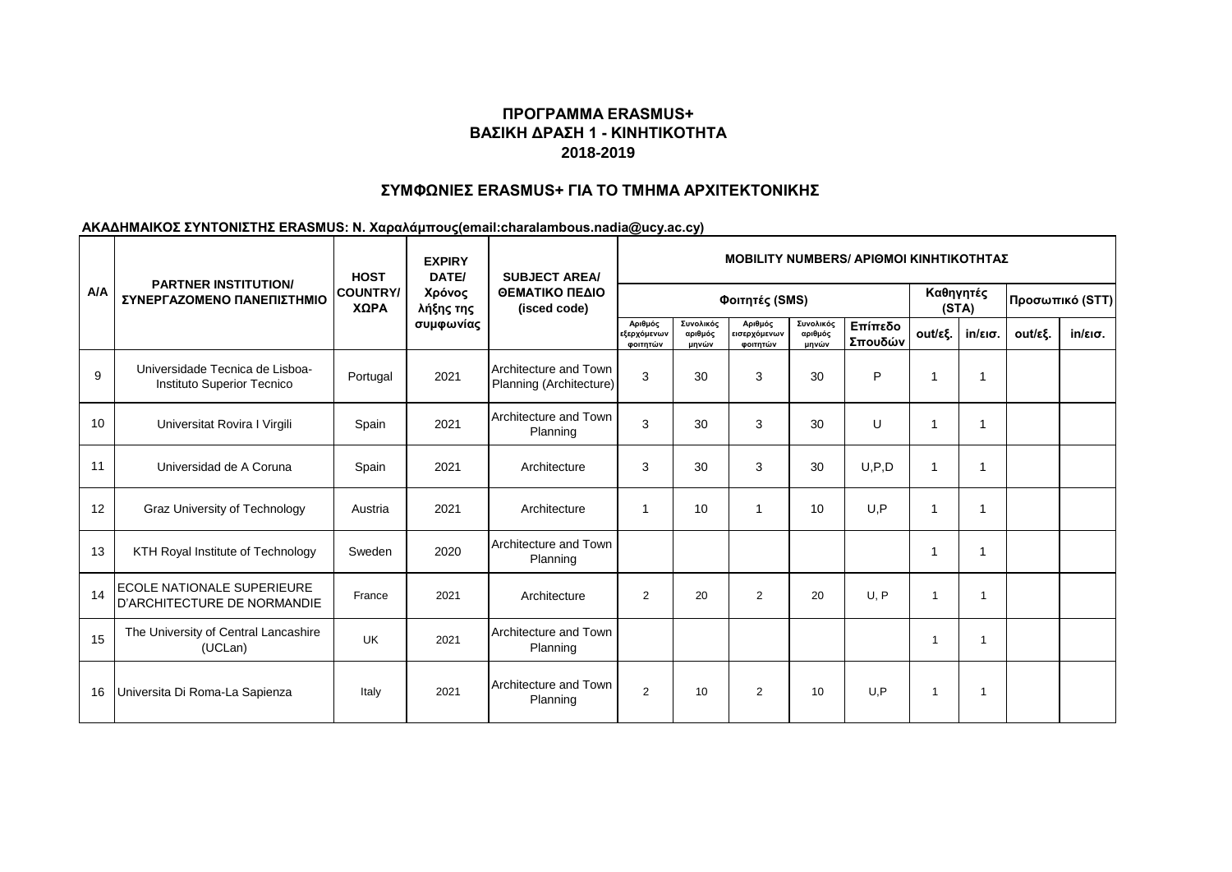# **ΠΡΟΓΡΑΜΜΑ ERASMUS+ ΒΑΣΙΚΗ ΔΡΑΣΗ 1 - ΚΙΝΗΤΙΚΟΤΗΤΑ 2018-2019**

## **ΣΥΜΦΩΝΙΕΣ ERASMUS+ ΓΙΑ ΤΟ ΤΜΗΜΑ ΑΡΧΙΤΕΚΤΟΝΙΚΗΣ**

#### **ΑΚΑΔΗΜΑΙΚΟΣ ΣΥΝΤΟΝΙΣΤΗΣ ERASMUS: Ν. Χαραλάμπους(email:charalambous.nadia@ucy.ac.cy)**

|     | <b>PARTNER INSTITUTION/</b><br>ΣΥΝΕΡΓΑΖΟΜΕΝΟ ΠΑΝΕΠΙΣΤΗΜΙΟ            | <b>HOST</b><br><b>COUNTRY/</b><br>ΧΩΡΑ | <b>EXPIRY</b><br>DATE/<br>Χρόνος<br>λήξης της<br>συμφωνίας | <b>SUBJECT AREA/</b><br>ΘΕΜΑΤΙΚΟ ΠΕΔΙΟ<br>(isced code) | <b>MOBILITY NUMBERS/ APIOMOI KINHTIKOTHTAZ</b> |                               |                                     |                               |                    |                         |                    |         |                   |  |
|-----|----------------------------------------------------------------------|----------------------------------------|------------------------------------------------------------|--------------------------------------------------------|------------------------------------------------|-------------------------------|-------------------------------------|-------------------------------|--------------------|-------------------------|--------------------|---------|-------------------|--|
| A/A |                                                                      |                                        |                                                            |                                                        | Φοιτητές (SMS)                                 |                               |                                     |                               |                    |                         | Καθηγητές<br>(STA) |         | Προσωπικό (STT)   |  |
|     |                                                                      |                                        |                                                            |                                                        | Αριθμός<br>εξερχόμενων<br>φοιτητών             | Συνολικός<br>αριθμός<br>μηνών | Αριθμός<br>εισερχόμενων<br>φοιτητών | Συνολικός<br>αριθμός<br>μηνών | Επίπεδο<br>Σπουδών | out/εξ.                 | $in/\epsilon$ ισ.  | out/εξ. | $in/\epsilon$ ισ. |  |
| 9   | Universidade Tecnica de Lisboa-<br><b>Instituto Superior Tecnico</b> | Portugal                               | 2021                                                       | Architecture and Town<br>Planning (Architecture)       | 3                                              | 30                            | 3                                   | 30                            | P                  | $\mathbf 1$             | 1                  |         |                   |  |
| 10  | Universitat Rovira I Virgili                                         | Spain                                  | 2021                                                       | Architecture and Town<br>Planning                      | 3                                              | 30                            | 3                                   | 30                            | U                  | $\mathbf 1$             | 1                  |         |                   |  |
| 11  | Universidad de A Coruna                                              | Spain                                  | 2021                                                       | Architecture                                           | 3                                              | 30                            | 3                                   | 30                            | U, P, D            | $\mathbf 1$             | 1                  |         |                   |  |
| 12  | Graz University of Technology                                        | Austria                                | 2021                                                       | Architecture                                           | 1                                              | 10                            | 1                                   | 10                            | U.P                | $\overline{1}$          | 1                  |         |                   |  |
| 13  | KTH Royal Institute of Technology                                    | Sweden                                 | 2020                                                       | Architecture and Town<br>Planning                      |                                                |                               |                                     |                               |                    | -1                      | 1                  |         |                   |  |
| 14  | <b>ECOLE NATIONALE SUPERIEURE</b><br>D'ARCHITECTURE DE NORMANDIE     | France                                 | 2021                                                       | Architecture                                           | $\overline{2}$                                 | 20                            | $\overline{2}$                      | 20                            | U, P               | $\overline{\mathbf{1}}$ | -1                 |         |                   |  |
| 15  | The University of Central Lancashire<br>(UCLan)                      | <b>UK</b>                              | 2021                                                       | Architecture and Town<br>Planning                      |                                                |                               |                                     |                               |                    | -1                      | -1                 |         |                   |  |
| 16  | Universita Di Roma-La Sapienza                                       | Italy                                  | 2021                                                       | Architecture and Town<br>Planning                      | 2                                              | 10                            | $\overline{2}$                      | 10                            | U.P                | $\overline{\mathbf{1}}$ |                    |         |                   |  |